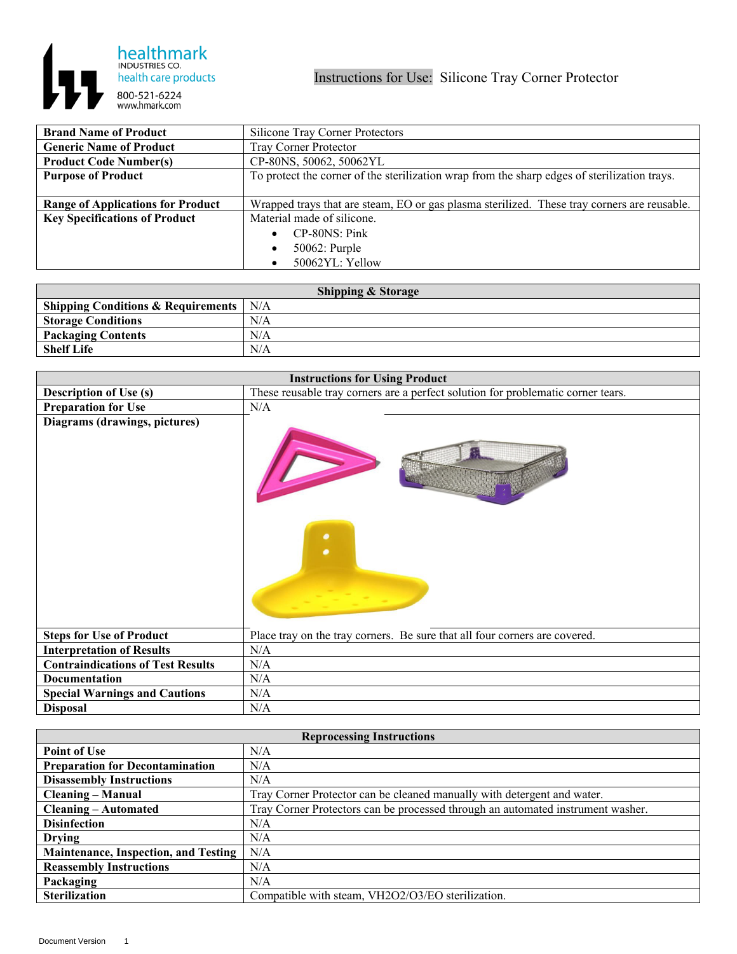

| <b>Brand Name of Product</b>             | Silicone Tray Corner Protectors                                                              |
|------------------------------------------|----------------------------------------------------------------------------------------------|
| <b>Generic Name of Product</b>           | <b>Tray Corner Protector</b>                                                                 |
| <b>Product Code Number(s)</b>            | CP-80NS, 50062, 50062YL                                                                      |
| <b>Purpose of Product</b>                | To protect the corner of the sterilization wrap from the sharp edges of sterilization trays. |
|                                          |                                                                                              |
| <b>Range of Applications for Product</b> | Wrapped trays that are steam, EO or gas plasma sterilized. These tray corners are reusable.  |
| <b>Key Specifications of Product</b>     | Material made of silicone.                                                                   |
|                                          | CP-80NS: Pink                                                                                |
|                                          | 50062: Purple                                                                                |
|                                          | 50062YL: Yellow                                                                              |

| <b>Shipping &amp; Storage</b>                  |     |  |
|------------------------------------------------|-----|--|
| Shipping Conditions & Requirements $\vert$ N/A |     |  |
| <b>Storage Conditions</b>                      | N/A |  |
| <b>Packaging Contents</b>                      | N/A |  |
| <b>Shelf Life</b>                              | N/A |  |

| <b>Instructions for Using Product</b>    |                                                                                  |
|------------------------------------------|----------------------------------------------------------------------------------|
| <b>Description of Use (s)</b>            | These reusable tray corners are a perfect solution for problematic corner tears. |
| <b>Preparation for Use</b>               | N/A                                                                              |
| Diagrams (drawings, pictures)            | $\bullet$                                                                        |
| <b>Steps for Use of Product</b>          | Place tray on the tray corners. Be sure that all four corners are covered.       |
| <b>Interpretation of Results</b>         | N/A                                                                              |
| <b>Contraindications of Test Results</b> | N/A                                                                              |
| Documentation                            | N/A                                                                              |
| <b>Special Warnings and Cautions</b>     | N/A                                                                              |
| <b>Disposal</b>                          | N/A                                                                              |

| <b>Reprocessing Instructions</b>            |                                                                                 |  |
|---------------------------------------------|---------------------------------------------------------------------------------|--|
| <b>Point of Use</b>                         | N/A                                                                             |  |
| <b>Preparation for Decontamination</b>      | N/A                                                                             |  |
| <b>Disassembly Instructions</b>             | N/A                                                                             |  |
| <b>Cleaning – Manual</b>                    | Tray Corner Protector can be cleaned manually with detergent and water.         |  |
| <b>Cleaning – Automated</b>                 | Tray Corner Protectors can be processed through an automated instrument washer. |  |
| <b>Disinfection</b>                         | N/A                                                                             |  |
| <b>Drying</b>                               | N/A                                                                             |  |
| <b>Maintenance, Inspection, and Testing</b> | N/A                                                                             |  |
| <b>Reassembly Instructions</b>              | N/A                                                                             |  |
| Packaging                                   | N/A                                                                             |  |
| <b>Sterilization</b>                        | Compatible with steam, VH2O2/O3/EO sterilization.                               |  |